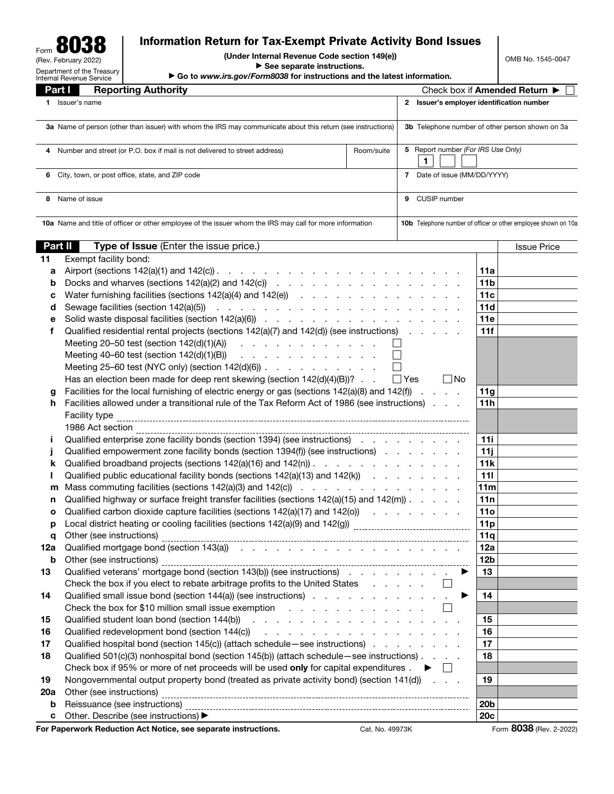Form 8038 (Rev. February 2022) Department of the Treasury Internal Revenue Service

## Information Return for Tax-Exempt Private Activity Bond Issues

(Under Internal Revenue Code section 149(e))

▶ See separate instructions.

▶ Go to *www.irs.gov/Form8038* for instructions and the latest information.

Part I Reporting Authority Check box if Amended Return ▶ □ 1 Issuer's name 2 Issuer's employer identification number 3a Name of person (other than issuer) with whom the IRS may communicate about this return (see instructions) 3b Telephone number of other person shown on 3a 4 Number and street (or P.O. box if mail is not delivered to street address) Room/suite 5 Report number *(For IRS Use Only)* 1 | | | | 6 City, town, or post office, state, and ZIP code 7 Date of issue (MM/DD/YYYY) 8 Name of issue 9 CUSIP number 10a Name and title of officer or other employee of the issuer whom the IRS may call for more information 10b Telephone number of officer or other employee shown on 10a **Part II Type of Issue** (Enter the issue price.) **In the interval of the interval of the Issue Price Price issue Price** 11 Exempt facility bond: a Airport (sections 142(a)(1) and 142(c)) . . . . . . . . . . . . . . . . . . . . . 11a **b** Docks and wharves (sections  $142(a)(2)$  and  $142(c)$ ) . . . . . . . . . . . . . . . . . . 11b **c** Water furnishing facilities (sections  $142(a)(4)$  and  $142(e)$ ) . . . . . . . . . . . . . . . . 11c d Sewage facilities (section 142(a)(5)) . . . . . . . . . . . . . . . . . . . . . 11d e Solid waste disposal facilities (section 142(a)(6)) . . . . . . . . . . . . . . . . . 11e f Qualified residential rental projects (sections  $142(a)(7)$  and  $142(d)$ ) (see instructions) . . . . . 11f Meeting 20–50 test (section 142(d)(1)(A)) . . . . . . . . . . . .  $\Box$ Meeting 40–60 test (section 142(d)(1)(B)) . . . . . . . . . . . .  $\Box$ Meeting 25–60 test (NYC only) (section 142(d)(6)) . . . . . . . . . .  $\Box$ Has an election been made for deep rent skewing (section  $142(d)(4)(B)$ )? . .  $\Box$  Yes  $\Box$  No g Facilities for the local furnishing of electric energy or gas (sections  $142(a)(8)$  and  $142(f)$ ).... h Facilities allowed under a transitional rule of the Tax Reform Act of 1986 (see instructions) . . . . . 11h Facility type 1986 Act section i Qualified enterprise zone facility bonds (section 1394) (see instructions) . . . . . . . . . | 11i j Qualified empowerment zone facility bonds (section 1394(f)) (see instructions)  $\ldots$  . . . .  $\vert$  11j **k** Qualified broadband projects (sections  $142(a)(16)$  and  $142(n)$ ). . . . . . . . . . . . . . . . . 11k **I** Qualified public educational facility bonds (sections  $142(a)(13)$  and  $142(k)$ ) . . . . . . . . 111 **m** Mass commuting facilities (sections 142(a)(3) and 142(c))  $\ldots$  . . . . . . . . . . . . . . . 11m n Qualified highway or surface freight transfer facilities (sections  $142(a)(15)$  and  $142(m)$ ). . . . . 11n **o** Qualified carbon dioxide capture facilities (sections  $142(a)(17)$  and  $142(o)$ ) . . . . . . . . . 11o **p** Local district heating or cooling facilities (sections 142(a)(9) and 142(g))  $\frac{11p}{11p}$ q Other (see instructions) 11q 12a Qualified mortgage bond (section 143(a)) . . . . . . . . . . . . . . . . . . . 12a **b** Other (see instructions)  $\frac{12b}{12}$ 13 Qualified veterans' mortgage bond (section 143(b)) (see instructions)  $\ldots$  . . . . . .  $\blacktriangleright$  13 Check the box if you elect to rebate arbitrage profits to the United States . . . . . .  $\Box$ 14 Qualified small issue bond (section 144(a)) (see instructions)  $\ldots$  . . . . . . . . .  $\blacktriangleright$  14 Check the box for \$10 million small issue exemption . . . . . . . . . . . .  $\Box$ 15 Qualified student loan bond (section 144(b)) . . . . . . . . . . . . . . . . . . 15 16 Qualified redevelopment bond (section 144(c)) . . . . . . . . . . . . . . . . . 16 17 Qualified hospital bond (section 145(c)) (attach schedule—see instructions) . . . . . . . . 17 18 Qualified 501(c)(3) nonhospital bond (section 145(b)) (attach schedule—see instructions) . . . . 18 Check box if 95% or more of net proceeds will be used only for capital expenditures .  $\blacktriangleright \Box$ 19 Nongovernmental output property bond (treated as private activity bond) (section 141(d))  $\ldots$  19 20a Other (see instructions) **b** Reissuance (see instructions) 20b c Other. Describe (see instructions) ▶ 20c

For Paperwork Reduction Act Notice, see separate instructions. Cat. No. 49973K Form 8038 (Rev. 2-2022)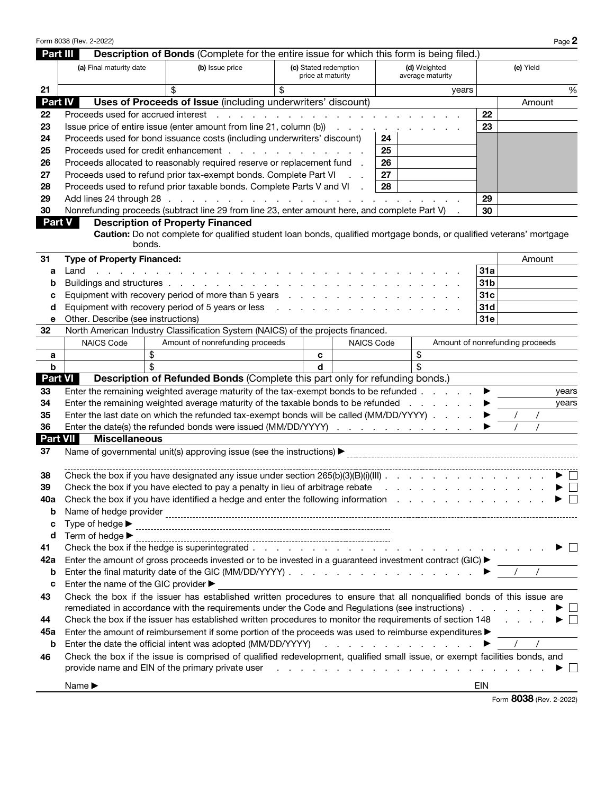|                | Form 8038 (Rev. 2-2022)                                                                                                    |                                                                                                                    |    |                                            |                   |  |                                  |                 |        |           | Page 2 |  |
|----------------|----------------------------------------------------------------------------------------------------------------------------|--------------------------------------------------------------------------------------------------------------------|----|--------------------------------------------|-------------------|--|----------------------------------|-----------------|--------|-----------|--------|--|
| Part III       |                                                                                                                            | Description of Bonds (Complete for the entire issue for which this form is being filed.)                           |    |                                            |                   |  |                                  |                 |        |           |        |  |
|                | (a) Final maturity date                                                                                                    | (b) Issue price                                                                                                    |    | (c) Stated redemption<br>price at maturity |                   |  | (d) Weighted<br>average maturity |                 |        | (e) Yield |        |  |
| 21             |                                                                                                                            |                                                                                                                    | \$ |                                            |                   |  | years                            |                 |        |           | %      |  |
| <b>Part IV</b> |                                                                                                                            | Uses of Proceeds of Issue (including underwriters' discount)                                                       |    |                                            |                   |  |                                  |                 |        | Amount    |        |  |
| 22             | Proceeds used for accrued interest<br>$\mathbf{L} = \mathbf{L}$<br>$\mathbf{L} = \mathbf{L}$                               |                                                                                                                    |    |                                            |                   |  | 22                               |                 |        |           |        |  |
| 23             | Issue price of entire issue (enter amount from line 21, column (b))<br>and a state of                                      |                                                                                                                    |    |                                            |                   |  |                                  |                 |        |           |        |  |
| 24             | Proceeds used for bond issuance costs (including underwriters' discount)<br>24                                             |                                                                                                                    |    |                                            |                   |  |                                  |                 |        |           |        |  |
| 25             | Proceeds used for credit enhancement<br>25                                                                                 |                                                                                                                    |    |                                            |                   |  |                                  |                 |        |           |        |  |
| 26             | Proceeds allocated to reasonably required reserve or replacement fund .<br>26                                              |                                                                                                                    |    |                                            |                   |  |                                  |                 |        |           |        |  |
| 27             | Proceeds used to refund prior tax-exempt bonds. Complete Part VI<br>27                                                     |                                                                                                                    |    |                                            |                   |  |                                  |                 |        |           |        |  |
| 28             | Proceeds used to refund prior taxable bonds. Complete Parts V and VI<br>28                                                 |                                                                                                                    |    |                                            |                   |  |                                  |                 |        |           |        |  |
| 29             |                                                                                                                            | Add lines 24 through 28                                                                                            |    |                                            |                   |  |                                  | 29              |        |           |        |  |
| 30             |                                                                                                                            | Nonrefunding proceeds (subtract line 29 from line 23, enter amount here, and complete Part V)                      |    |                                            |                   |  |                                  | 30              |        |           |        |  |
|                | <b>Part V</b><br><b>Description of Property Financed</b>                                                                   |                                                                                                                    |    |                                            |                   |  |                                  |                 |        |           |        |  |
|                | Caution: Do not complete for qualified student loan bonds, qualified mortgage bonds, or qualified veterans' mortgage       |                                                                                                                    |    |                                            |                   |  |                                  |                 |        |           |        |  |
|                | bonds.                                                                                                                     |                                                                                                                    |    |                                            |                   |  |                                  |                 |        |           |        |  |
| 31             | <b>Type of Property Financed:</b>                                                                                          |                                                                                                                    |    |                                            |                   |  |                                  |                 | Amount |           |        |  |
| а              | Land<br>and a strong control of the strong and                                                                             |                                                                                                                    |    |                                            |                   |  |                                  | 31a             |        |           |        |  |
| b              | Buildings and structures                                                                                                   |                                                                                                                    |    |                                            |                   |  |                                  | 31 <sub>b</sub> |        |           |        |  |
| с              | Equipment with recovery period of more than 5 years                                                                        |                                                                                                                    |    |                                            |                   |  |                                  | 31c             |        |           |        |  |
| d              | Equipment with recovery period of 5 years or less                                                                          |                                                                                                                    |    |                                            |                   |  |                                  | 31d<br>31e      |        |           |        |  |
| е<br>32        | Other. Describe (see instructions)<br>North American Industry Classification System (NAICS) of the projects financed.      |                                                                                                                    |    |                                            |                   |  |                                  |                 |        |           |        |  |
|                | <b>NAICS Code</b>                                                                                                          | Amount of nonrefunding proceeds                                                                                    |    |                                            | <b>NAICS Code</b> |  | Amount of nonrefunding proceeds  |                 |        |           |        |  |
|                | \$                                                                                                                         |                                                                                                                    |    | c                                          |                   |  | \$                               |                 |        |           |        |  |
| а<br>b         | \$                                                                                                                         |                                                                                                                    |    | d                                          |                   |  | \$                               |                 |        |           |        |  |
| <b>Part VI</b> |                                                                                                                            | Description of Refunded Bonds (Complete this part only for refunding bonds.)                                       |    |                                            |                   |  |                                  |                 |        |           |        |  |
| 33             |                                                                                                                            | Enter the remaining weighted average maturity of the tax-exempt bonds to be refunded                               |    |                                            |                   |  |                                  |                 |        |           | years  |  |
| 34             |                                                                                                                            | Enter the remaining weighted average maturity of the taxable bonds to be refunded                                  |    |                                            |                   |  |                                  |                 |        |           | years  |  |
| 35             |                                                                                                                            | Enter the last date on which the refunded tax-exempt bonds will be called (MM/DD/YYYY)                             |    |                                            |                   |  |                                  |                 |        |           |        |  |
| 36             |                                                                                                                            | Enter the date(s) the refunded bonds were issued (MM/DD/YYYY)                                                      |    |                                            |                   |  |                                  |                 |        |           |        |  |
| Part VII       | <b>Miscellaneous</b>                                                                                                       |                                                                                                                    |    |                                            |                   |  |                                  |                 |        |           |        |  |
| 37             |                                                                                                                            |                                                                                                                    |    |                                            |                   |  |                                  |                 |        |           |        |  |
| 38             |                                                                                                                            | Check the box if you have designated any issue under section $265(b)(3)(B)(i)(III)$ .                              |    |                                            |                   |  |                                  |                 |        |           |        |  |
| 39             |                                                                                                                            | Check the box if you have elected to pay a penalty in lieu of arbitrage rebate                                     |    |                                            |                   |  |                                  |                 |        |           | ▸      |  |
| 40a            |                                                                                                                            |                                                                                                                    |    |                                            |                   |  |                                  |                 |        |           |        |  |
| b              | Check the box if you have identified a hedge and enter the following information                                           |                                                                                                                    |    |                                            |                   |  |                                  |                 |        |           |        |  |
| c              |                                                                                                                            |                                                                                                                    |    |                                            |                   |  |                                  |                 |        |           |        |  |
| d              | Term of hedge $\blacktriangleright$                                                                                        |                                                                                                                    |    |                                            |                   |  |                                  |                 |        |           |        |  |
| 41             |                                                                                                                            |                                                                                                                    |    |                                            |                   |  |                                  |                 |        |           |        |  |
| 42a            | Enter the amount of gross proceeds invested or to be invested in a guaranteed investment contract (GIC) >                  |                                                                                                                    |    |                                            |                   |  |                                  |                 |        |           |        |  |
| b              | $\prime$                                                                                                                   |                                                                                                                    |    |                                            |                   |  |                                  |                 |        |           |        |  |
| c              | Enter the name of the GIC provider ▶                                                                                       |                                                                                                                    |    |                                            |                   |  |                                  |                 |        |           |        |  |
| 43             | Check the box if the issuer has established written procedures to ensure that all nonqualified bonds of this issue are     |                                                                                                                    |    |                                            |                   |  |                                  |                 |        |           |        |  |
|                |                                                                                                                            |                                                                                                                    |    |                                            |                   |  |                                  |                 |        |           |        |  |
| 44             | Check the box if the issuer has established written procedures to monitor the requirements of section 148 $\ldots$         |                                                                                                                    |    |                                            |                   |  |                                  |                 |        |           |        |  |
| 45a            | Enter the amount of reimbursement if some portion of the proceeds was used to reimburse expenditures $\blacktriangleright$ |                                                                                                                    |    |                                            |                   |  |                                  |                 |        |           |        |  |
| b              | $\sqrt{2}$                                                                                                                 |                                                                                                                    |    |                                            |                   |  |                                  |                 |        |           |        |  |
| 46             | Check the box if the issue is comprised of qualified redevelopment, qualified small issue, or exempt facilities bonds, and |                                                                                                                    |    |                                            |                   |  |                                  |                 |        |           |        |  |
|                |                                                                                                                            | provide name and EIN of the primary private user enters and the content of the content of the primary private user |    |                                            |                   |  |                                  |                 |        |           |        |  |
|                | Name $\blacktriangleright$                                                                                                 |                                                                                                                    |    |                                            |                   |  |                                  | EIN             |        |           |        |  |

Form 8038 (Rev. 2-2022)